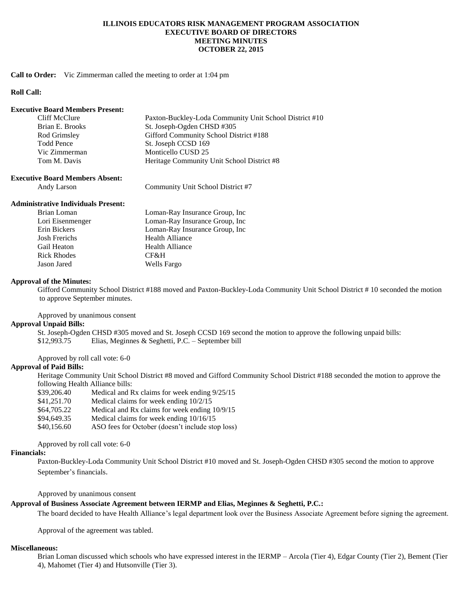## **ILLINOIS EDUCATORS RISK MANAGEMENT PROGRAM ASSOCIATION EXECUTIVE BOARD OF DIRECTORS MEETING MINUTES OCTOBER 22, 2015**

## **Call to Order:** Vic Zimmerman called the meeting to order at 1:04 pm

## **Roll Call:**

#### **Executive Board Members Present:**

| Cliff McClure   | Paxton-Buckley-Loda Community Unit School District #10 |
|-----------------|--------------------------------------------------------|
| Brian E. Brooks | St. Joseph-Ogden CHSD #305                             |
| Rod Grimsley    | Gifford Community School District #188                 |
| Todd Pence      | St. Joseph CCSD 169                                    |
| Vic Zimmerman   | Monticello CUSD 25                                     |
| Tom M. Davis    | Heritage Community Unit School District #8             |

#### **Executive Board Members Absent:**

Andy Larson Community Unit School District #7

### **Administrative Individuals Present:**

| Brian Loman          | Loman-Ray Insurance Group, Inc. |
|----------------------|---------------------------------|
| Lori Eisenmenger     | Loman-Ray Insurance Group, Inc  |
| Erin Bickers         | Loman-Ray Insurance Group, Inc  |
| <b>Josh Frerichs</b> | <b>Health Alliance</b>          |
| Gail Heaton          | <b>Health Alliance</b>          |
| <b>Rick Rhodes</b>   | CF&H                            |
| Jason Jared          | Wells Fargo                     |

### **Approval of the Minutes:**

Gifford Community School District #188 moved and Paxton-Buckley-Loda Community Unit School District # 10 seconded the motion to approve September minutes.

Approved by unanimous consent

## **Approval Unpaid Bills:**

St. Joseph-Ogden CHSD #305 moved and St. Joseph CCSD 169 second the motion to approve the following unpaid bills: \$12,993.75 Elias, Meginnes & Seghetti, P.C. – September bill

## Approved by roll call vote: 6-0

# **Approval of Paid Bills:**

Heritage Community Unit School District #8 moved and Gifford Community School District #188 seconded the motion to approve the following Health Alliance bills:

- \$39,206.40 Medical and Rx claims for week ending 9/25/15 \$41,251.70 Medical claims for week ending 10/2/15
- \$64,705.22 Medical and Rx claims for week ending 10/9/15
- \$94,649.35 Medical claims for week ending 10/16/15
- \$40,156.60 ASO fees for October (doesn't include stop loss)

## Approved by roll call vote: 6-0

### **Financials:**

Paxton-Buckley-Loda Community Unit School District #10 moved and St. Joseph-Ogden CHSD #305 second the motion to approve September's financials.

Approved by unanimous consent

### **Approval of Business Associate Agreement between IERMP and Elias, Meginnes & Seghetti, P.C.:**

The board decided to have Health Alliance's legal department look over the Business Associate Agreement before signing the agreement.

Approval of the agreement was tabled.

### **Miscellaneous:**

Brian Loman discussed which schools who have expressed interest in the IERMP – Arcola (Tier 4), Edgar County (Tier 2), Bement (Tier 4), Mahomet (Tier 4) and Hutsonville (Tier 3).